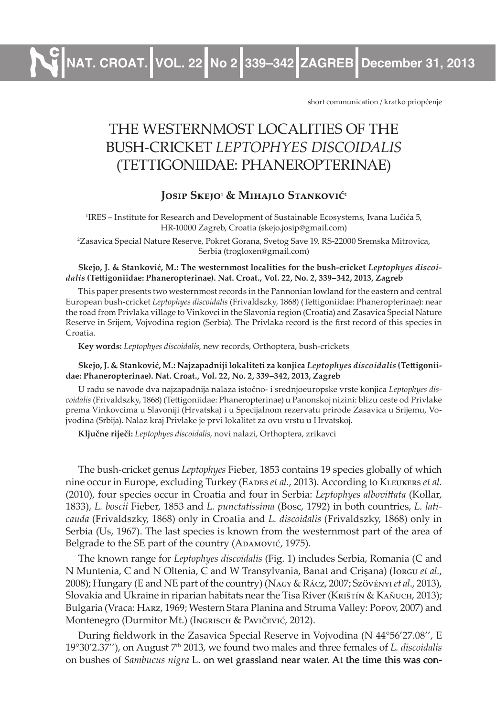**NAT. CROAT. VOL. 22 No 2 339–342 ZAGREB December 31, 2013**

short communication / kratko priopćenje

# THE WESTERNMOST LOCALITIES OF THE BUSH-CRICKET *LEPTOPHYES DISCOIDALIS* (TETTIGONIIDAE: PHANEROPTERINAE)

## **Josip Skejo1 & Mihajlo Stanković2**

1 IRES – Institute for Research and Development of Sustainable Ecosystems, Ivana Lučića 5, HR-10000 Zagreb, Croatia (skejo.josip@gmail.com)

2 Zasavica Special Nature Reserve, Pokret Gorana, Svetog Save 19, RS-22000 Sremska Mitrovica, Serbia (trogloxen@gmail.com)

#### **Skejo, J. & Stanković, M.: The westernmost localities for the bush-cricket** *Leptophyes discoidalis* **(Tettigoniidae: Phaneropterinae). Nat. Croat., Vol. 22, No. 2, 339–342, 2013, Zagreb**

This paper presents two westernmost records in the Pannonian lowland for the eastern and central European bush-cricket *Leptophyes discoidalis* (Frivaldszky, 1868) (Tettigoniidae: Phaneropterinae): near the road from Privlaka village to Vinkovci in the Slavonia region (Croatia) and Zasavica Special Nature Reserve in Srijem, Vojvodina region (Serbia). The Privlaka record is the first record of this species in Croatia.

**Key words:** *Leptophyes discoidalis*, new records, Orthoptera, bush-crickets

#### **Skejo, J. & Stanković, M.: Najzapadniji lokaliteti za konjica** *Leptophyes discoidalis* **(Tettigoniidae: Phaneropterinae). Nat. Croat., Vol. 22, No. 2, 339–342, 2013, Zagreb**

U radu se navode dva najzapadnija nalaza istočno- i srednjoeuropske vrste konjica *Leptophyes discoidalis* (Frivaldszky, 1868) (Tettigoniidae: Phaneropterinae) u Panonskoj nizini: blizu ceste od Privlake prema Vinkovcima u Slavoniji (Hrvatska) i u Specijalnom rezervatu prirode Zasavica u Srijemu, Vojvodina (Srbija). Nalaz kraj Privlake je prvi lokalitet za ovu vrstu u Hrvatskoj.

**Ključne riječi:** *Leptophyes discoidalis*, novi nalazi, Orthoptera, zrikavci

The bush-cricket genus *Leptophyes* Fieber, 1853 contains 19 species globally of which nine occur in Europe, excluding Turkey (EADES *et al.*, 2013). According to KLEUKERS *et al.* (2010), four species occur in Croatia and four in Serbia: *Leptophyes albovittata* (Kollar, 1833), *L. boscii* Fieber, 1853 and *L. punctatissima* (Bosc, 1792) in both countries, *L. laticauda* (Frivaldszky, 1868) only in Croatia and *L. discoidalis* (Frivaldszky, 1868) only in Serbia (Us, 1967). The last species is known from the westernmost part of the area of Belgrade to the SE part of the country (ADAMOVIĆ, 1975).

The known range for *Leptophyes discoidalis* (Fig. 1) includes Serbia, Romania (C and N Muntenia, C and N Oltenia, C and W Transylvania, Banat and Crişana) (Iorgu *et al.*, 2008); Hungary (E and NE part of the country) (Nagy & Rácz, 2007; Szövényi *et al*., 2013), Slovakia and Ukraine in riparian habitats near the Tisa River (KRISTÍN & KAŇUCH, 2013); Bulgaria (Vraca: Harz, 1969; Western Stara Planina and Struma Valley: Popov, 2007) and Montenegro (Durmitor Mt.) (Ingrisch & Pavičević, 2012).

During fieldwork in the Zasavica Special Reserve in Vojvodina (N 44°56'27.08'', E 19°30'2.37''), on August 7th 2013, we found two males and three females of *L. discoidalis* on bushes of *Sambucus nigra* L. on wet grassland near water. At the time this was con-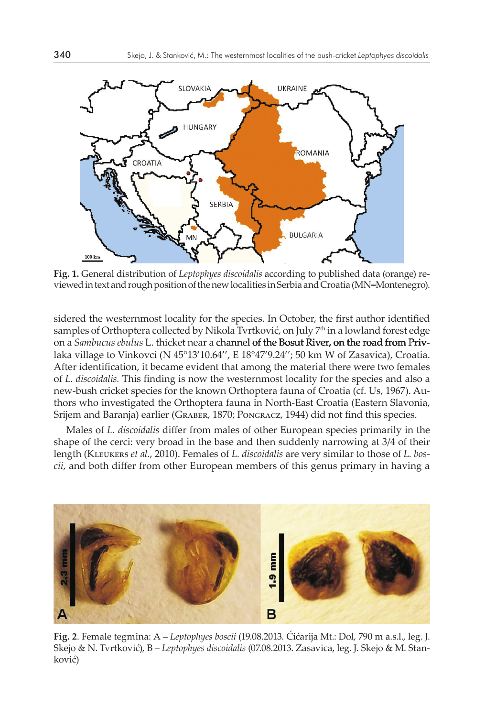

**Fig. 1.** General distribution of *Leptophyes discoidalis* according to published data (orange) reviewed in text and rough position of the new localities in Serbia and Croatia (MN=Montenegro).

sidered the westernmost locality for the species. In October, the first author identified samples of Orthoptera collected by Nikola Tvrtković, on July 7<sup>th</sup> in a lowland forest edge on a *Sambucus ebulus* L. thicket near a channel of the Bosut River, on the road from Privlaka village to Vinkovci (N 45°13'10.64'', E 18°47'9.24''; 50 km W of Zasavica), Croatia. After identification, it became evident that among the material there were two females of *L. discoidalis.* This finding is now the westernmost locality for the species and also a new-bush cricket species for the known Orthoptera fauna of Croatia (cf. Us, 1967). Authors who investigated the Orthoptera fauna in North-East Croatia (Eastern Slavonia, Srijem and Baranja) earlier (Graber, 1870; Pongracz, 1944) did not find this species.

Males of *L. discoidalis* differ from males of other European species primarily in the shape of the cerci: very broad in the base and then suddenly narrowing at 3/4 of their length (Kleukers *et al.*, 2010). Females of *L. discoidalis* are very similar to those of *L. boscii*, and both differ from other European members of this genus primary in having a



**Fig. 2**. Female tegmina: A – *Leptophyes boscii* (19.08.2013. Ćićarija Mt.: Dol, 790 m a.s.l., leg. J. Skejo & N. Tvrtković), B – *Leptophyes discoidalis* (07.08.2013. Zasavica, leg. J. Skejo & M. Stanković)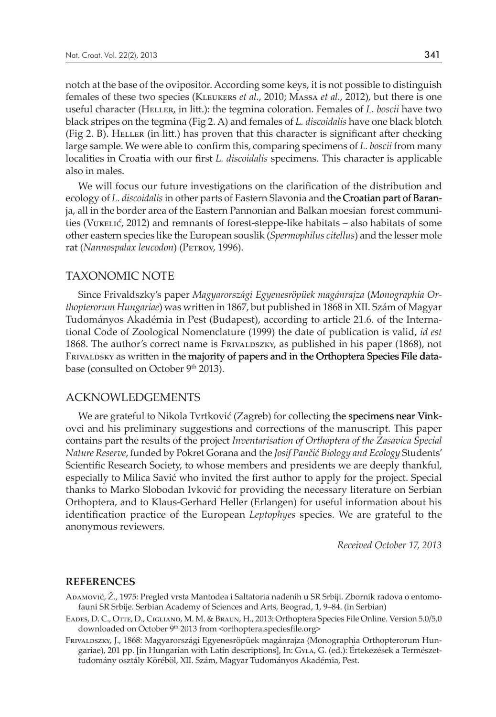notch at the base of the ovipositor. According some keys, it is not possible to distinguish females of these two species (Kleukers *et al.*, 2010; Massa *et al.*, 2012), but there is one useful character (Heller, in litt.): the tegmina coloration. Females of *L. boscii* have two black stripes on the tegmina (Fig 2. A) and females of *L. discoidalis* have one black blotch (Fig 2. B). Heller (in litt.) has proven that this character is significant after checking large sample. We were able to confirm this, comparing specimens of *L. boscii* from many localities in Croatia with our first *L. discoidalis* specimens. This character is applicable also in males.

We will focus our future investigations on the clarification of the distribution and ecology of *L. discoidalis* in other parts of Eastern Slavonia and the Croatian part of Baranja, all in the border area of the Eastern Pannonian and Balkan moesian forest communities (Vukelić, 2012) and remnants of forest-steppe-like habitats – also habitats of some other eastern species like the European souslik (*Spermophilus citellus*) and the lesser mole rat (Nannospalax leucodon) (PETROV, 1996).

## TAXONOMIC NOTE

Since Frivaldszky's paper *Magyarországi Egyenesröpüek magánrajza* (*Monographia Orthopterorum Hungariae*) was written in 1867, but published in 1868 in XII. Szám of Magyar Tudományos Akadémia in Pest (Budapest), according to article 21.6. of the International Code of Zoological Nomenclature (1999) the date of publication is valid, *id est* 1868. The author's correct name is Frivaldo extends as published in his paper (1868), not FRIVALDSKY as written in the majority of papers and in the Orthoptera Species File database (consulted on October 9<sup>th</sup> 2013).

## ACKNOWLEDGEMENTS

We are grateful to Nikola Tvrtković (Zagreb) for collecting the specimens near Vinkovci and his preliminary suggestions and corrections of the manuscript. This paper contains part the results of the project *Inventarisation of Orthoptera of the Zasavica Special Nature Reserve*, funded by Pokret Gorana and the *Josif Pančić Biology and Ecology* Students' Scientific Research Society, to whose members and presidents we are deeply thankful, especially to Milica Savić who invited the first author to apply for the project. Special thanks to Marko Slobodan Ivković for providing the necessary literature on Serbian Orthoptera, and to Klaus-Gerhard Heller (Erlangen) for useful information about his identification practice of the European *Leptophyes* species. We are grateful to the anonymous reviewers.

*Received October 17, 2013*

### **REFERENCES**

- Adamović, Ž., 1975: Pregled vrsta Mantodea i Saltatoria nađenih u SR Srbiji. Zbornik radova o entomofauni SR Srbije. Serbian Academy of Sciences and Arts, Beograd, **1**, 9–84. (in Serbian)
- Eades, D. C., Otte, D., Cigliano, M. M. & Braun, H., 2013: Orthoptera Species File Online. Version 5.0/5.0 downloaded on October 9<sup>th</sup> 2013 from <orthoptera.speciesfile.org>
- Frivaldszky, J., 1868: Magyarországi Egyenesröpüek magánrajza (Monographia Orthopterorum Hungariae), 201 pp. [in Hungarian with Latin descriptions], In: Gyla, G. (ed.): Értekezések a Természettudomány osztály Köréböl, XII. Szám, Magyar Tudományos Akadémia, Pest.